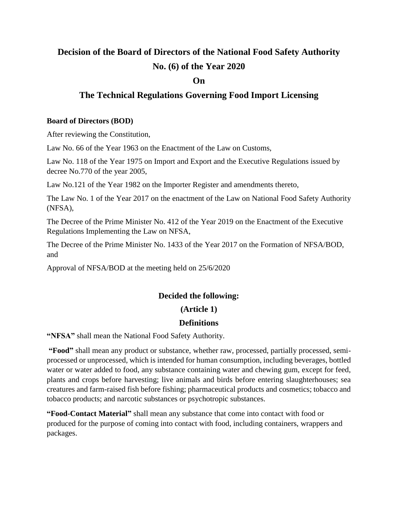# **Decision of the Board of Directors of the National Food Safety Authority No. (6) of the Year 2020**

#### **On**

# **The Technical Regulations Governing Food Import Licensing**

#### **Board of Directors (BOD)**

After reviewing the Constitution,

Law No. 66 of the Year 1963 on the Enactment of the Law on Customs,

Law No. 118 of the Year 1975 on Import and Export and the Executive Regulations issued by decree No.770 of the year 2005,

Law No.121 of the Year 1982 on the Importer Register [and amendments thereto,](https://context.reverso.net/%D8%A7%D9%84%D8%AA%D8%B1%D8%AC%D9%85%D8%A9/%D8%A7%D9%84%D8%A5%D9%86%D8%AC%D9%84%D9%8A%D8%B2%D9%8A%D8%A9-%D8%A7%D9%84%D8%B9%D8%B1%D8%A8%D9%8A%D8%A9/and+amendments+thereto)

The Law No. 1 of the Year 2017 on the enactment of the Law on National Food Safety Authority (NFSA),

The Decree of the Prime Minister No. 412 of the Year 2019 on the Enactment of the Executive Regulations Implementing the Law on NFSA,

The Decree of the Prime Minister No. 1433 of the Year 2017 on the Formation of NFSA/BOD, and

Approval of NFSA/BOD at the meeting held on 25/6/2020

## **Decided the following:**

#### **(Article 1)**

## **Definitions**

**"NFSA"** shall mean the National Food Safety Authority.

**"Food"** shall mean any product or substance, whether raw, processed, partially processed, semiprocessed or unprocessed, which is intended for human consumption, including beverages, bottled water or water added to food, any substance containing water and chewing gum, except for feed, plants and crops before harvesting; live animals and birds before entering slaughterhouses; sea creatures and farm-raised fish before fishing; pharmaceutical products and cosmetics; tobacco and tobacco products; and narcotic substances or psychotropic substances.

**"Food-Contact Material"** shall mean any substance that come into contact with food or produced for the purpose of coming into contact with food, including containers, wrappers and packages.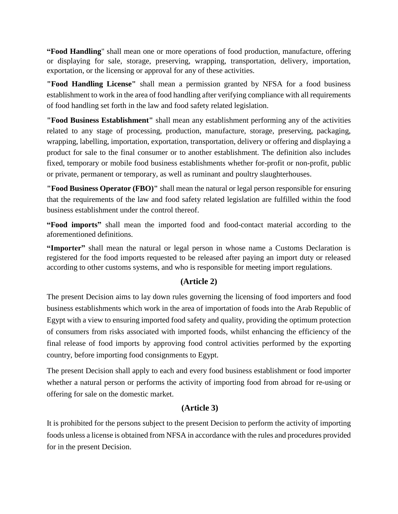**"Food Handling**" shall mean one or more operations of food production, manufacture, offering or displaying for sale, storage, preserving, wrapping, transportation, delivery, importation, exportation, or the licensing or approval for any of these activities.

**"Food Handling License"** shall mean a permission granted by NFSA for a food business establishment to work in the area of food handling after verifying compliance with all requirements of food handling set forth in the law and food safety related legislation.

**"Food Business Establishment"** shall mean any establishment performing any of the activities related to any stage of processing, production, manufacture, storage, preserving, packaging, wrapping, labelling, importation, exportation, transportation, delivery or offering and displaying a product for sale to the final consumer or to another establishment. The definition also includes fixed, temporary or mobile food business establishments whether for-profit or non-profit, public or private, permanent or temporary, as well as ruminant and poultry slaughterhouses.

**"Food Business Operator (FBO)"** shall mean the natural or legal person responsible for ensuring that the requirements of the law and food safety related legislation are fulfilled within the food business establishment under the control thereof.

**"Food imports"** shall mean the imported food and food-contact material according to the aforementioned definitions.

**"Importer"** shall mean the natural or legal person in whose name a Customs Declaration is registered for the food imports requested to be released after paying an import duty or released according to other customs systems, and who is responsible for meeting import regulations.

# **(Article 2)**

The present Decision aims to lay down rules governing the licensing of food importers and food business establishments which work in the area of importation of foods into the Arab Republic of Egypt with a view to ensuring imported food safety and quality, providing the optimum protection of consumers from risks associated with imported foods, whilst enhancing the efficiency of the final release of food imports by approving food control activities performed by the exporting country, before importing food consignments to Egypt.

The present Decision shall apply to each and every food business establishment or food importer whether a natural person or performs the activity of importing food from abroad for re-using or offering for sale on the domestic market.

## **(Article 3)**

It is prohibited for the persons subject to the present Decision to perform the activity of importing foods unless a license is obtained from NFSA in accordance with the rules and procedures provided for in the present Decision.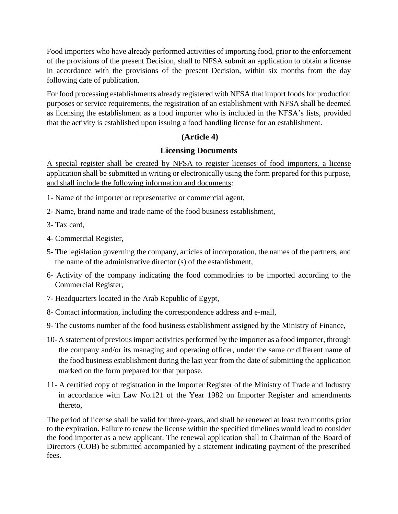Food importers who have already performed activities of importing food, prior to the enforcement of the provisions of the present Decision, shall to NFSA submit an application to obtain a license in accordance with the provisions of the present Decision, within six months from the day following date of publication.

For food processing establishments already registered with NFSA that import foods for production purposes or service requirements, the registration of an establishment with NFSA shall be deemed as licensing the establishment as a food importer who is included in the NFSA's lists, provided that the activity is established upon issuing a food handling license for an establishment.

## **(Article 4)**

## **Licensing Documents**

A special register shall be created by NFSA to register licenses of food importers, a license application shall be submitted in writing or electronically using the form prepared for this purpose, and shall include the following information and documents:

- 1- Name of the importer or representative or commercial agent,
- 2- Name, brand name and trade name of the food business establishment,
- 3- Tax card,
- 4- Commercial Register,
- 5- The legislation governing the company, articles of incorporation, the names of the partners, and the name of the administrative director (s) of the establishment,
- 6- Activity of the company indicating the food commodities to be imported according to the Commercial Register,
- 7- Headquarters located in the Arab Republic of Egypt,
- 8- Contact information, including the correspondence address and e-mail,
- 9- The customs number of the food business establishment assigned by the Ministry of Finance,
- 10- A statement of previous import activities performed by the importer as a food importer, through the company and/or its managing and operating officer, under the same or different name of the food business establishment during the last year from the date of submitting the application marked on the form prepared for that purpose,
- 11- A certified copy of registration in the Importer Register of the Ministry of Trade and Industry in accordance with Law No.121 of the Year 1982 on Importer Register [and amendments](https://context.reverso.net/%D8%A7%D9%84%D8%AA%D8%B1%D8%AC%D9%85%D8%A9/%D8%A7%D9%84%D8%A5%D9%86%D8%AC%D9%84%D9%8A%D8%B2%D9%8A%D8%A9-%D8%A7%D9%84%D8%B9%D8%B1%D8%A8%D9%8A%D8%A9/and+amendments+thereto)  [thereto,](https://context.reverso.net/%D8%A7%D9%84%D8%AA%D8%B1%D8%AC%D9%85%D8%A9/%D8%A7%D9%84%D8%A5%D9%86%D8%AC%D9%84%D9%8A%D8%B2%D9%8A%D8%A9-%D8%A7%D9%84%D8%B9%D8%B1%D8%A8%D9%8A%D8%A9/and+amendments+thereto)

The period of license shall be valid for three-years, and shall be renewed at least two months prior to the expiration. Failure to renew the license within the specified timelines would lead to consider the food importer as a new applicant. The renewal application shall to Chairman of the Board of Directors (COB) be submitted accompanied by a statement indicating payment of the prescribed fees.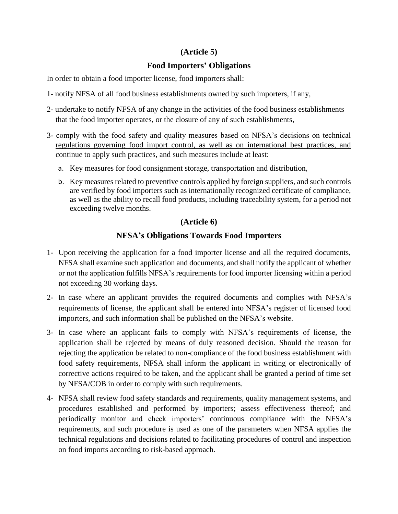## **(Article 5)**

## **Food Importers' Obligations**

In order to obtain a food importer license, food importers shall:

- 1- notify NFSA of all food business establishments owned by such importers, if any,
- 2- undertake to notify NFSA of any change in the activities of the food business establishments that the food importer operates, or the closure of any of such establishments,
- 3- comply with the food safety and quality measures based on NFSA's decisions on technical regulations governing food import control, as well as on international best practices, and continue to apply such practices, and such measures include at least:
	- a. Key measures for food consignment storage, transportation and distribution,
	- b. Key measures related to preventive controls applied by foreign suppliers, and such controls are verified by food importers such as internationally recognized certificate of compliance, as well as the ability to recall food products, including traceability system, for a period not exceeding twelve months.

# **(Article 6)**

# **NFSA's Obligations Towards Food Importers**

- 1- Upon receiving the application for a food importer license and all the required documents, NFSA shall examine such application and documents, and shall notify the applicant of whether or not the application fulfills NFSA's requirements for food importer licensing within a period not exceeding 30 working days.
- 2- In case where an applicant provides the required documents and complies with NFSA's requirements of license, the applicant shall be entered into NFSA's register of licensed food importers, and such information shall be published on the NFSA's website.
- 3- In case where an applicant fails to comply with NFSA's requirements of license, the application shall be rejected by means of duly reasoned decision. Should the reason for rejecting the application be related to non-compliance of the food business establishment with food safety requirements, NFSA shall inform the applicant in writing or electronically of corrective actions required to be taken, and the applicant shall be granted a period of time set by NFSA/COB in order to comply with such requirements.
- 4- NFSA shall review food safety standards and requirements, quality management systems, and procedures established and performed by importers; assess effectiveness thereof; and periodically monitor and check importers' continuous compliance with the NFSA's requirements, and such procedure is used as one of the parameters when NFSA applies the technical regulations and decisions related to facilitating procedures of control and inspection on food imports according to risk-based approach.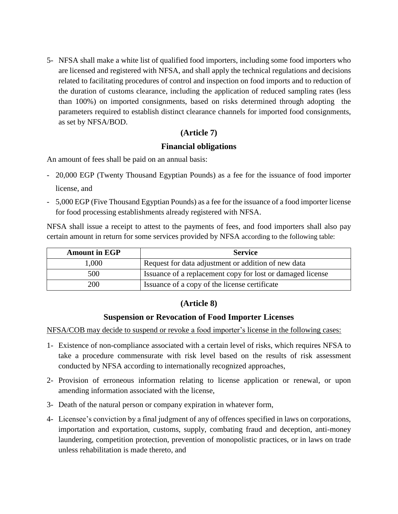5- NFSA shall make a white list of qualified food importers, including some food importers who are licensed and registered with NFSA, and shall apply the technical regulations and decisions related to facilitating procedures of control and inspection on food imports and to reduction of the duration of customs clearance, including the application of reduced sampling rates (less than 100%) on imported consignments, based on risks determined through adopting the parameters required to establish distinct clearance channels for imported food consignments, as set by NFSA/BOD.

## **(Article 7)**

## **Financial obligations**

An amount of fees shall be paid on an annual basis:

- 20,000 EGP (Twenty Thousand Egyptian Pounds) as a fee for the issuance of food importer license, and
- 5,000 EGP (Five Thousand Egyptian Pounds) as a fee for the issuance of a food importer license for food processing establishments already registered with NFSA.

NFSA shall issue a receipt to attest to the payments of fees, and food importers shall also pay certain amount in return for some services provided by NFSA according to the following table:

| <b>Amount in EGP</b> | <b>Service</b>                                             |
|----------------------|------------------------------------------------------------|
| 1,000                | Request for data adjustment or addition of new data        |
| 500                  | Issuance of a replacement copy for lost or damaged license |
| 200                  | Issuance of a copy of the license certificate              |

# **(Article 8)**

# **Suspension or Revocation of Food Importer Licenses**

NFSA/COB may decide to suspend or revoke a food importer's license in the following cases:

- 1- Existence of non-compliance associated with a certain level of risks, which requires NFSA to take a procedure commensurate with risk level based on the results of risk assessment conducted by NFSA according to internationally recognized approaches,
- 2- Provision of erroneous information relating to license application or renewal, or upon amending information associated with the license,
- 3- Death of the natural person or company expiration in whatever form,
- 4- Licensee's conviction by a final judgment of any of offences specified in laws on corporations, importation and exportation, customs, supply, combating fraud and deception, anti-money laundering, competition protection, prevention of monopolistic practices, or in laws on trade unless rehabilitation is made thereto, and